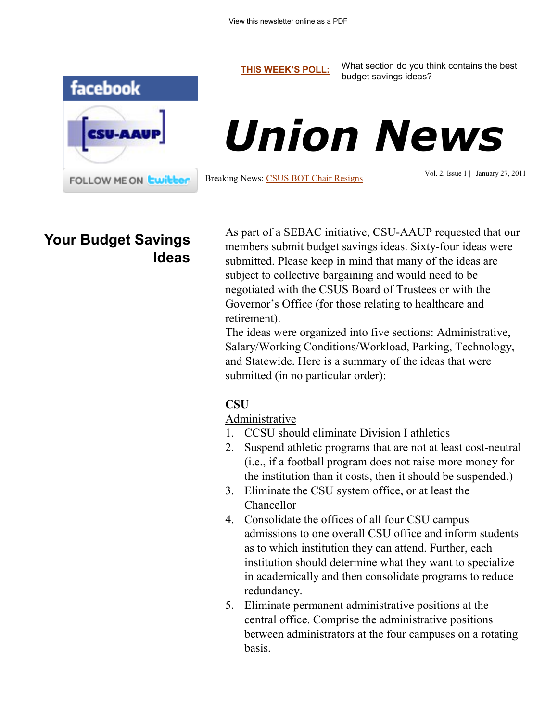**[THIS WEEK'S POLL:](http://www.csuaaup.org/)** What section do you think contains the best budget savings ideas?





Breaking News: [CSUS BOT Chair Resigns](http://www.courant.com/news/education/hc-csus-chairman-krapek-resigns-20110126,0,6255861.story)

Vol. 2, Issue 1 | January 27, 2011

### **Your Budget Savings Ideas**

As part of a SEBAC initiative, CSU-AAUP requested that our members submit budget savings ideas. Sixty-four ideas were submitted. Please keep in mind that many of the ideas are subject to collective bargaining and would need to be negotiated with the CSUS Board of Trustees or with the Governor's Office (for those relating to healthcare and retirement).

The ideas were organized into five sections: Administrative, Salary/Working Conditions/Workload, Parking, Technology, and Statewide. Here is a summary of the ideas that were submitted (in no particular order):

#### **CSU**

Administrative

- 1. CCSU should eliminate Division I athletics
- 2. Suspend athletic programs that are not at least cost-neutral (i.e., if a football program does not raise more money for the institution than it costs, then it should be suspended.)
- 3. Eliminate the CSU system office, or at least the Chancellor
- 4. Consolidate the offices of all four CSU campus admissions to one overall CSU office and inform students as to which institution they can attend. Further, each institution should determine what they want to specialize in academically and then consolidate programs to reduce redundancy.
- 5. Eliminate permanent administrative positions at the central office. Comprise the administrative positions between administrators at the four campuses on a rotating basis.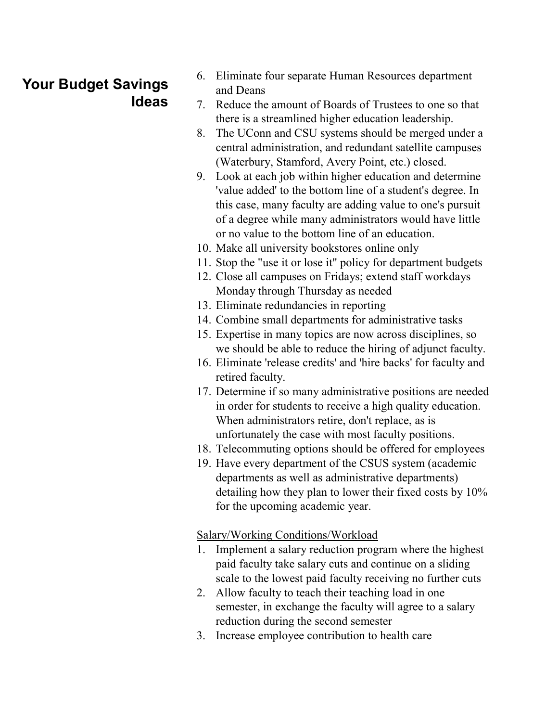- 6. Eliminate four separate Human Resources department and Deans
- 7. Reduce the amount of Boards of Trustees to one so that there is a streamlined higher education leadership.
- 8. The UConn and CSU systems should be merged under a central administration, and redundant satellite campuses (Waterbury, Stamford, Avery Point, etc.) closed.
- 9. Look at each job within higher education and determine 'value added' to the bottom line of a student's degree. In this case, many faculty are adding value to one's pursuit of a degree while many administrators would have little or no value to the bottom line of an education.
- 10. Make all university bookstores online only
- 11. Stop the "use it or lose it" policy for department budgets
- 12. Close all campuses on Fridays; extend staff workdays Monday through Thursday as needed
- 13. Eliminate redundancies in reporting
- 14. Combine small departments for administrative tasks
- 15. Expertise in many topics are now across disciplines, so we should be able to reduce the hiring of adjunct faculty.
- 16. Eliminate 'release credits' and 'hire backs' for faculty and retired faculty.
- 17. Determine if so many administrative positions are needed in order for students to receive a high quality education. When administrators retire, don't replace, as is unfortunately the case with most faculty positions.
- 18. Telecommuting options should be offered for employees
- 19. Have every department of the CSUS system (academic departments as well as administrative departments) detailing how they plan to lower their fixed costs by 10% for the upcoming academic year.

Salary/Working Conditions/Workload

- 1. Implement a salary reduction program where the highest paid faculty take salary cuts and continue on a sliding scale to the lowest paid faculty receiving no further cuts
- 2. Allow faculty to teach their teaching load in one semester, in exchange the faculty will agree to a salary reduction during the second semester
- 3. Increase employee contribution to health care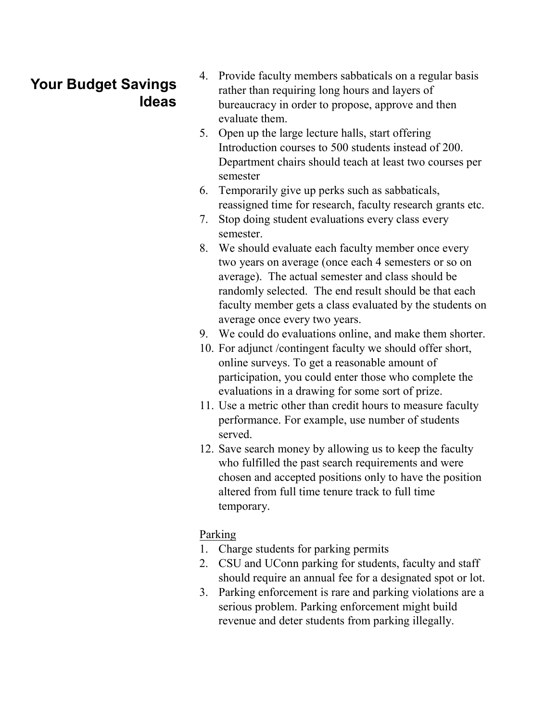- 4. Provide faculty members sabbaticals on a regular basis rather than requiring long hours and layers of bureaucracy in order to propose, approve and then evaluate them.
- 5. Open up the large lecture halls, start offering Introduction courses to 500 students instead of 200. Department chairs should teach at least two courses per semester
- 6. Temporarily give up perks such as sabbaticals, reassigned time for research, faculty research grants etc.
- 7. Stop doing student evaluations every class every semester.
- 8. We should evaluate each faculty member once every two years on average (once each 4 semesters or so on average). The actual semester and class should be randomly selected. The end result should be that each faculty member gets a class evaluated by the students on average once every two years.
- 9. We could do evaluations online, and make them shorter.
- 10. For adjunct /contingent faculty we should offer short, online surveys. To get a reasonable amount of participation, you could enter those who complete the evaluations in a drawing for some sort of prize.
- 11. Use a metric other than credit hours to measure faculty performance. For example, use number of students served.
- 12. Save search money by allowing us to keep the faculty who fulfilled the past search requirements and were chosen and accepted positions only to have the position altered from full time tenure track to full time temporary.

#### Parking

- 1. Charge students for parking permits
- 2. CSU and UConn parking for students, faculty and staff should require an annual fee for a designated spot or lot.
- 3. Parking enforcement is rare and parking violations are a serious problem. Parking enforcement might build revenue and deter students from parking illegally.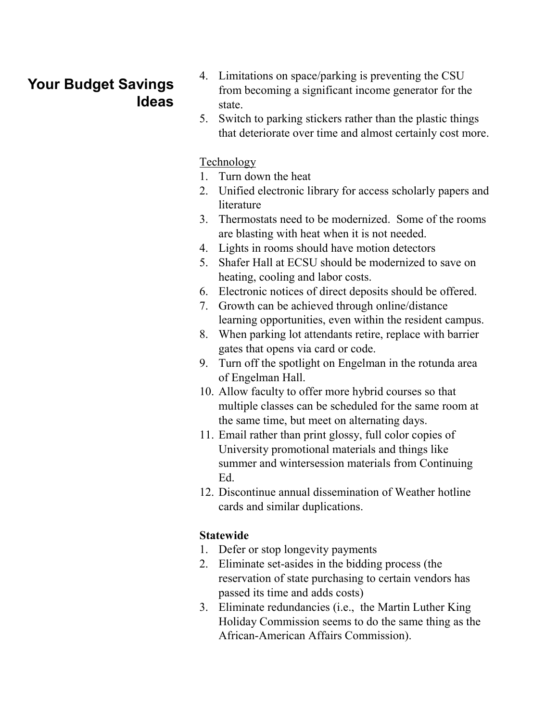- 4. Limitations on space/parking is preventing the CSU from becoming a significant income generator for the state.
- 5. Switch to parking stickers rather than the plastic things that deteriorate over time and almost certainly cost more.

#### Technology

- 1. Turn down the heat
- 2. Unified electronic library for access scholarly papers and literature
- 3. Thermostats need to be modernized. Some of the rooms are blasting with heat when it is not needed.
- 4. Lights in rooms should have motion detectors
- 5. Shafer Hall at ECSU should be modernized to save on heating, cooling and labor costs.
- 6. Electronic notices of direct deposits should be offered.
- 7. Growth can be achieved through online/distance learning opportunities, even within the resident campus.
- 8. When parking lot attendants retire, replace with barrier gates that opens via card or code.
- 9. Turn off the spotlight on Engelman in the rotunda area of Engelman Hall.
- 10. Allow faculty to offer more hybrid courses so that multiple classes can be scheduled for the same room at the same time, but meet on alternating days.
- 11. Email rather than print glossy, full color copies of University promotional materials and things like summer and wintersession materials from Continuing Ed.
- 12. Discontinue annual dissemination of Weather hotline cards and similar duplications.

#### **Statewide**

- 1. Defer or stop longevity payments
- 2. Eliminate set-asides in the bidding process (the reservation of state purchasing to certain vendors has passed its time and adds costs)
- 3. Eliminate redundancies (i.e., the Martin Luther King Holiday Commission seems to do the same thing as the African-American Affairs Commission).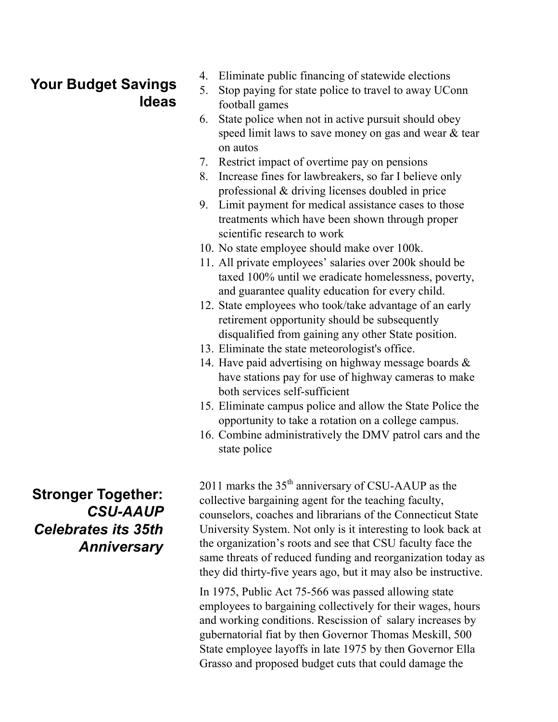- 4. Eliminate public financing of statewide elections
- 5. Stop paying for state police to travel to away UConn football games
- 6. State police when not in active pursuit should obey speed limit laws to save money on gas and wear & tear on autos
- 7. Restrict impact of overtime pay on pensions
- 8. Increase fines for lawbreakers, so far I believe only professional & driving licenses doubled in price
- 9. Limit payment for medical assistance cases to those treatments which have been shown through proper scientific research to work
- 10. No state employee should make over 100k.
- 11. All private employees' salaries over 200k should be taxed 100% until we eradicate homelessness, poverty, and guarantee quality education for every child.
- 12. State employees who took/take advantage of an early retirement opportunity should be subsequently disqualified from gaining any other State position.
- 13. Eliminate the state meteorologist's office.
- 14. Have paid advertising on highway message boards & have stations pay for use of highway cameras to make both services self-sufficient
- 15. Eliminate campus police and allow the State Police the opportunity to take a rotation on a college campus.
- 16. Combine administratively the DMV patrol cars and the state police

2011 marks the  $35<sup>th</sup>$  anniversary of CSU-AAUP as the collective bargaining agent for the teaching faculty, counselors, coaches and librarians of the Connecticut State University System. Not only is it interesting to look back at the organization's roots and see that CSU faculty face the same threats of reduced funding and reorganization today as they did thirty-five years ago, but it may also be instructive.

In 1975, Public Act 75-566 was passed allowing state employees to bargaining collectively for their wages, hours and working conditions. Rescission of salary increases by gubernatorial fiat by then Governor Thomas Meskill, 500 State employee layoffs in late 1975 by then Governor Ella Grasso and proposed budget cuts that could damage the

**Stronger Together:**  *CSU-AAUP Celebrates its 35th Anniversary*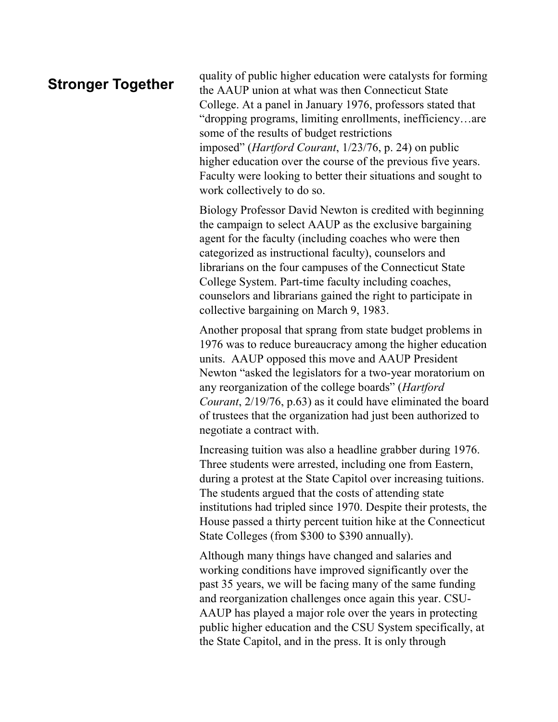#### **Stronger Together**

quality of public higher education were catalysts for forming the AAUP union at what was then Connecticut State College. At a panel in January 1976, professors stated that "dropping programs, limiting enrollments, inefficiency…are some of the results of budget restrictions imposed" (*Hartford Courant*, 1/23/76, p. 24) on public higher education over the course of the previous five years. Faculty were looking to better their situations and sought to work collectively to do so.

Biology Professor David Newton is credited with beginning the campaign to select AAUP as the exclusive bargaining agent for the faculty (including coaches who were then categorized as instructional faculty), counselors and librarians on the four campuses of the Connecticut State College System. Part-time faculty including coaches, counselors and librarians gained the right to participate in collective bargaining on March 9, 1983.

Another proposal that sprang from state budget problems in 1976 was to reduce bureaucracy among the higher education units. AAUP opposed this move and AAUP President Newton "asked the legislators for a two-year moratorium on any reorganization of the college boards" (*Hartford Courant*, 2/19/76, p.63) as it could have eliminated the board of trustees that the organization had just been authorized to negotiate a contract with.

Increasing tuition was also a headline grabber during 1976. Three students were arrested, including one from Eastern, during a protest at the State Capitol over increasing tuitions. The students argued that the costs of attending state institutions had tripled since 1970. Despite their protests, the House passed a thirty percent tuition hike at the Connecticut State Colleges (from \$300 to \$390 annually).

Although many things have changed and salaries and working conditions have improved significantly over the past 35 years, we will be facing many of the same funding and reorganization challenges once again this year. CSU-AAUP has played a major role over the years in protecting public higher education and the CSU System specifically, at the State Capitol, and in the press. It is only through